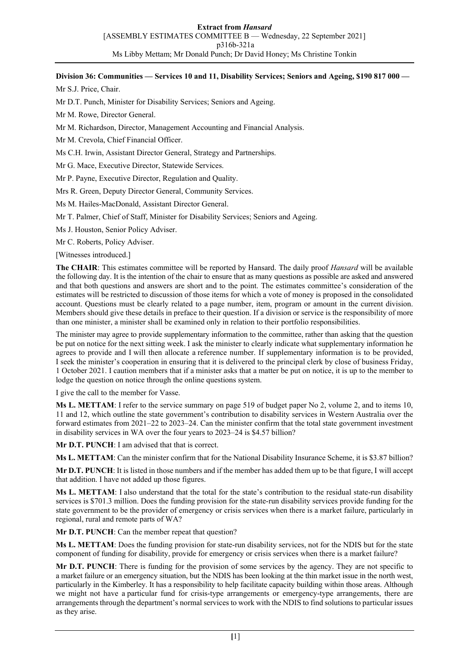## **Division 36: Communities — Services 10 and 11, Disability Services; Seniors and Ageing, \$190 817 000 —**

Mr S.J. Price, Chair.

Mr D.T. Punch, Minister for Disability Services; Seniors and Ageing.

Mr M. Rowe, Director General.

Mr M. Richardson, Director, Management Accounting and Financial Analysis.

Mr M. Crevola, Chief Financial Officer.

Ms C.H. Irwin, Assistant Director General, Strategy and Partnerships.

Mr G. Mace, Executive Director, Statewide Services.

Mr P. Payne, Executive Director, Regulation and Quality.

Mrs R. Green, Deputy Director General, Community Services.

Ms M. Hailes-MacDonald, Assistant Director General.

Mr T. Palmer, Chief of Staff, Minister for Disability Services; Seniors and Ageing.

Ms J. Houston, Senior Policy Adviser.

Mr C. Roberts, Policy Adviser.

[Witnesses introduced.]

**The CHAIR**: This estimates committee will be reported by Hansard. The daily proof *Hansard* will be available the following day. It is the intention of the chair to ensure that as many questions as possible are asked and answered and that both questions and answers are short and to the point. The estimates committee's consideration of the estimates will be restricted to discussion of those items for which a vote of money is proposed in the consolidated account. Questions must be clearly related to a page number, item, program or amount in the current division. Members should give these details in preface to their question. If a division or service is the responsibility of more than one minister, a minister shall be examined only in relation to their portfolio responsibilities.

The minister may agree to provide supplementary information to the committee, rather than asking that the question be put on notice for the next sitting week. I ask the minister to clearly indicate what supplementary information he agrees to provide and I will then allocate a reference number. If supplementary information is to be provided, I seek the minister's cooperation in ensuring that it is delivered to the principal clerk by close of business Friday, 1 October 2021. I caution members that if a minister asks that a matter be put on notice, it is up to the member to lodge the question on notice through the online questions system.

I give the call to the member for Vasse.

**Ms L. METTAM**: I refer to the service summary on page 519 of budget paper No 2, volume 2, and to items 10, 11 and 12, which outline the state government's contribution to disability services in Western Australia over the forward estimates from 2021–22 to 2023–24. Can the minister confirm that the total state government investment in disability services in WA over the four years to 2023–24 is \$4.57 billion?

**Mr D.T. PUNCH**: I am advised that that is correct.

**Ms L. METTAM**: Can the minister confirm that for the National Disability Insurance Scheme, it is \$3.87 billion?

**Mr D.T. PUNCH**: It is listed in those numbers and if the member has added them up to be that figure, I will accept that addition. I have not added up those figures.

**Ms L. METTAM**: I also understand that the total for the state's contribution to the residual state-run disability services is \$701.3 million. Does the funding provision for the state-run disability services provide funding for the state government to be the provider of emergency or crisis services when there is a market failure, particularly in regional, rural and remote parts of WA?

**Mr D.T. PUNCH**: Can the member repeat that question?

**Ms L. METTAM**: Does the funding provision for state-run disability services, not for the NDIS but for the state component of funding for disability, provide for emergency or crisis services when there is a market failure?

**Mr D.T. PUNCH**: There is funding for the provision of some services by the agency. They are not specific to a market failure or an emergency situation, but the NDIS has been looking at the thin market issue in the north west, particularly in the Kimberley. It has a responsibility to help facilitate capacity building within those areas. Although we might not have a particular fund for crisis-type arrangements or emergency-type arrangements, there are arrangements through the department's normal services to work with the NDIS to find solutions to particular issues as they arise.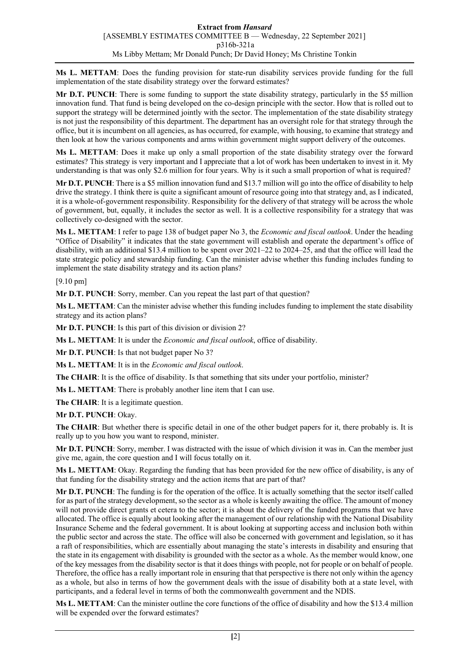**Ms L. METTAM**: Does the funding provision for state-run disability services provide funding for the full implementation of the state disability strategy over the forward estimates?

**Mr D.T. PUNCH**: There is some funding to support the state disability strategy, particularly in the \$5 million innovation fund. That fund is being developed on the co-design principle with the sector. How that is rolled out to support the strategy will be determined jointly with the sector. The implementation of the state disability strategy is not just the responsibility of this department. The department has an oversight role for that strategy through the office, but it is incumbent on all agencies, as has occurred, for example, with housing, to examine that strategy and then look at how the various components and arms within government might support delivery of the outcomes.

**Ms L. METTAM**: Does it make up only a small proportion of the state disability strategy over the forward estimates? This strategy is very important and I appreciate that a lot of work has been undertaken to invest in it. My understanding is that was only \$2.6 million for four years. Why is it such a small proportion of what is required?

**Mr D.T. PUNCH**: There is a \$5 million innovation fund and \$13.7 million will go into the office of disability to help drive the strategy. I think there is quite a significant amount of resource going into that strategy and, as I indicated, it is a whole-of-government responsibility. Responsibility for the delivery of that strategy will be across the whole of government, but, equally, it includes the sector as well. It is a collective responsibility for a strategy that was collectively co-designed with the sector.

**Ms L. METTAM**: I refer to page 138 of budget paper No 3, the *Economic and fiscal outlook*. Under the heading "Office of Disability" it indicates that the state government will establish and operate the department's office of disability, with an additional \$13.4 million to be spent over 2021–22 to 2024–25, and that the office will lead the state strategic policy and stewardship funding. Can the minister advise whether this funding includes funding to implement the state disability strategy and its action plans?

[9.10 pm]

**Mr D.T. PUNCH**: Sorry, member. Can you repeat the last part of that question?

**Ms L. METTAM**: Can the minister advise whether this funding includes funding to implement the state disability strategy and its action plans?

**Mr D.T. PUNCH**: Is this part of this division or division 2?

**Ms L. METTAM**: It is under the *Economic and fiscal outlook*, office of disability.

**Mr D.T. PUNCH**: Is that not budget paper No 3?

**Ms L. METTAM**: It is in the *Economic and fiscal outlook*.

**The CHAIR**: It is the office of disability. Is that something that sits under your portfolio, minister?

**Ms L. METTAM**: There is probably another line item that I can use.

**The CHAIR**: It is a legitimate question.

**Mr D.T. PUNCH**: Okay.

**The CHAIR**: But whether there is specific detail in one of the other budget papers for it, there probably is. It is really up to you how you want to respond, minister.

**Mr D.T. PUNCH**: Sorry, member. I was distracted with the issue of which division it was in. Can the member just give me, again, the core question and I will focus totally on it.

**Ms L. METTAM**: Okay. Regarding the funding that has been provided for the new office of disability, is any of that funding for the disability strategy and the action items that are part of that?

**Mr D.T. PUNCH**: The funding is for the operation of the office. It is actually something that the sector itself called for as part of the strategy development, so the sector as a whole is keenly awaiting the office. The amount of money will not provide direct grants et cetera to the sector; it is about the delivery of the funded programs that we have allocated. The office is equally about looking after the management of our relationship with the National Disability Insurance Scheme and the federal government. It is about looking at supporting access and inclusion both within the public sector and across the state. The office will also be concerned with government and legislation, so it has a raft of responsibilities, which are essentially about managing the state's interests in disability and ensuring that the state in its engagement with disability is grounded with the sector as a whole. As the member would know, one of the key messages from the disability sector is that it does things with people, not for people or on behalf of people. Therefore, the office has a really important role in ensuring that that perspective is there not only within the agency as a whole, but also in terms of how the government deals with the issue of disability both at a state level, with participants, and a federal level in terms of both the commonwealth government and the NDIS.

**Ms L. METTAM**: Can the minister outline the core functions of the office of disability and how the \$13.4 million will be expended over the forward estimates?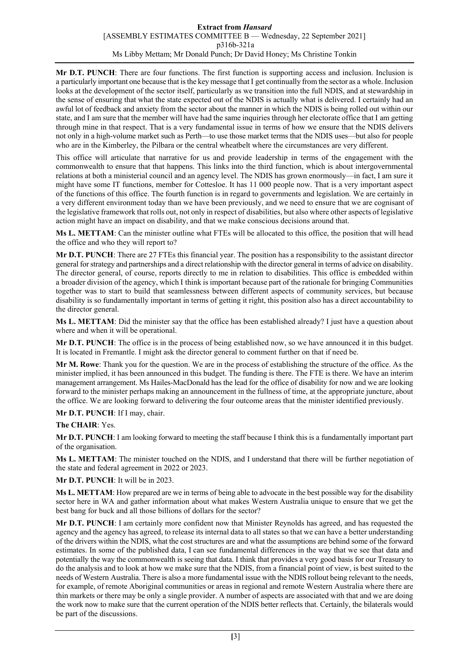## **Extract from** *Hansard* [ASSEMBLY ESTIMATES COMMITTEE B — Wednesday, 22 September 2021] p316b-321a Ms Libby Mettam; Mr Donald Punch; Dr David Honey; Ms Christine Tonkin

**Mr D.T. PUNCH**: There are four functions. The first function is supporting access and inclusion. Inclusion is a particularly important one because that is the key message thatI get continually from the sector as a whole. Inclusion looks at the development of the sector itself, particularly as we transition into the full NDIS, and at stewardship in the sense of ensuring that what the state expected out of the NDIS is actually what is delivered. I certainly had an awful lot of feedback and anxiety from the sector about the manner in which the NDIS is being rolled out within our state, and I am sure that the member will have had the same inquiries through her electorate office that I am getting through mine in that respect. That is a very fundamental issue in terms of how we ensure that the NDIS delivers not only in a high-volume market such as Perth—to use those market terms that the NDIS uses—but also for people who are in the Kimberley, the Pilbara or the central wheatbelt where the circumstances are very different.

This office will articulate that narrative for us and provide leadership in terms of the engagement with the commonwealth to ensure that that happens. This links into the third function, which is about intergovernmental relations at both a ministerial council and an agency level. The NDIS has grown enormously—in fact, I am sure it might have some IT functions, member for Cottesloe. It has 11 000 people now. That is a very important aspect of the functions of this office. The fourth function is in regard to governments and legislation. We are certainly in a very different environment today than we have been previously, and we need to ensure that we are cognisant of the legislative framework that rolls out, not only in respect of disabilities, but also where other aspects of legislative action might have an impact on disability, and that we make conscious decisions around that.

**Ms L. METTAM**: Can the minister outline what FTEs will be allocated to this office, the position that will head the office and who they will report to?

**Mr D.T. PUNCH**: There are 27 FTEs this financial year. The position has a responsibility to the assistant director general for strategy and partnerships and a direct relationship with the director general in terms of advice on disability. The director general, of course, reports directly to me in relation to disabilities. This office is embedded within a broader division of the agency, which I think is important because part of the rationale for bringing Communities together was to start to build that seamlessness between different aspects of community services, but because disability is so fundamentally important in terms of getting it right, this position also has a direct accountability to the director general.

**Ms L. METTAM**: Did the minister say that the office has been established already? I just have a question about where and when it will be operational.

**Mr D.T. PUNCH**: The office is in the process of being established now, so we have announced it in this budget. It is located in Fremantle. I might ask the director general to comment further on that if need be.

**Mr M. Rowe**: Thank you for the question. We are in the process of establishing the structure of the office. As the minister implied, it has been announced in this budget. The funding is there. The FTE is there. We have an interim management arrangement. Ms Hailes-MacDonald has the lead for the office of disability for now and we are looking forward to the minister perhaps making an announcement in the fullness of time, at the appropriate juncture, about the office. We are looking forward to delivering the four outcome areas that the minister identified previously.

**Mr D.T. PUNCH**: If I may, chair.

**The CHAIR**: Yes.

**Mr D.T. PUNCH**: I am looking forward to meeting the staff because I think this is a fundamentally important part of the organisation.

**Ms L. METTAM**: The minister touched on the NDIS, and I understand that there will be further negotiation of the state and federal agreement in 2022 or 2023.

**Mr D.T. PUNCH**: It will be in 2023.

**Ms L. METTAM**: How prepared are we in terms of being able to advocate in the best possible way for the disability sector here in WA and gather information about what makes Western Australia unique to ensure that we get the best bang for buck and all those billions of dollars for the sector?

**Mr D.T. PUNCH**: I am certainly more confident now that Minister Reynolds has agreed, and has requested the agency and the agency has agreed, to release its internal data to all states so that we can have a better understanding of the drivers within the NDIS, what the cost structures are and what the assumptions are behind some of the forward estimates. In some of the published data, I can see fundamental differences in the way that we see that data and potentially the way the commonwealth is seeing that data. I think that provides a very good basis for our Treasury to do the analysis and to look at how we make sure that the NDIS, from a financial point of view, is best suited to the needs of Western Australia. There is also a more fundamental issue with the NDIS rollout being relevant to the needs, for example, of remote Aboriginal communities or areas in regional and remote Western Australia where there are thin markets or there may be only a single provider. A number of aspects are associated with that and we are doing the work now to make sure that the current operation of the NDIS better reflects that. Certainly, the bilaterals would be part of the discussions.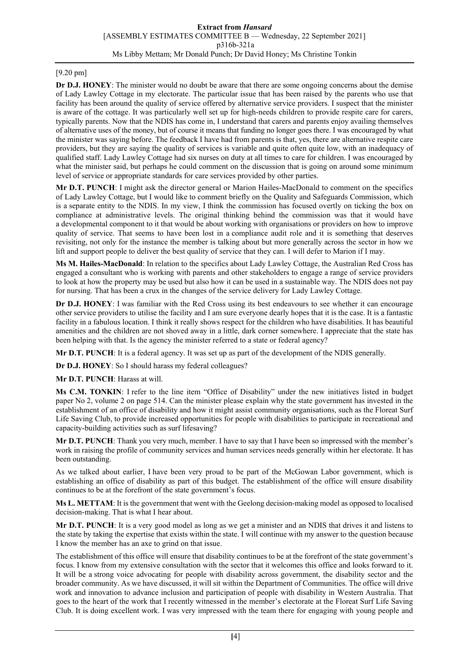## [9.20 pm]

**Dr D.J. HONEY**: The minister would no doubt be aware that there are some ongoing concerns about the demise of Lady Lawley Cottage in my electorate. The particular issue that has been raised by the parents who use that facility has been around the quality of service offered by alternative service providers. I suspect that the minister is aware of the cottage. It was particularly well set up for high-needs children to provide respite care for carers, typically parents. Now that the NDIS has come in, I understand that carers and parents enjoy availing themselves of alternative uses of the money, but of course it means that funding no longer goes there. I was encouraged by what the minister was saying before. The feedback I have had from parents is that, yes, there are alternative respite care providers, but they are saying the quality of services is variable and quite often quite low, with an inadequacy of qualified staff. Lady Lawley Cottage had six nurses on duty at all times to care for children. I was encouraged by what the minister said, but perhaps he could comment on the discussion that is going on around some minimum level of service or appropriate standards for care services provided by other parties.

**Mr D.T. PUNCH**: I might ask the director general or Marion Hailes-MacDonald to comment on the specifics of Lady Lawley Cottage, but I would like to comment briefly on the Quality and Safeguards Commission, which is a separate entity to the NDIS. In my view, I think the commission has focused overtly on ticking the box on compliance at administrative levels. The original thinking behind the commission was that it would have a developmental component to it that would be about working with organisations or providers on how to improve quality of service. That seems to have been lost in a compliance audit role and it is something that deserves revisiting, not only for the instance the member is talking about but more generally across the sector in how we lift and support people to deliver the best quality of service that they can. I will defer to Marion if I may.

**Ms M. Hailes-MacDonald**: In relation to the specifics about Lady Lawley Cottage, the Australian Red Cross has engaged a consultant who is working with parents and other stakeholders to engage a range of service providers to look at how the property may be used but also how it can be used in a sustainable way. The NDIS does not pay for nursing. That has been a crux in the changes of the service delivery for Lady Lawley Cottage.

**Dr D.J. HONEY**: I was familiar with the Red Cross using its best endeavours to see whether it can encourage other service providers to utilise the facility and I am sure everyone dearly hopes that it is the case. It is a fantastic facility in a fabulous location. I think it really shows respect for the children who have disabilities. It has beautiful amenities and the children are not shoved away in a little, dark corner somewhere. I appreciate that the state has been helping with that. Is the agency the minister referred to a state or federal agency?

**Mr D.T. PUNCH**: It is a federal agency. It was set up as part of the development of the NDIS generally.

**Dr D.J. HONEY**: So I should harass my federal colleagues?

**Mr D.T. PUNCH**: Harass at will.

**Ms C.M. TONKIN**: I refer to the line item "Office of Disability" under the new initiatives listed in budget paper No 2, volume 2 on page 514. Can the minister please explain why the state government has invested in the establishment of an office of disability and how it might assist community organisations, such as the Floreat Surf Life Saving Club, to provide increased opportunities for people with disabilities to participate in recreational and capacity-building activities such as surf lifesaving?

**Mr D.T. PUNCH**: Thank you very much, member. I have to say that I have been so impressed with the member's work in raising the profile of community services and human services needs generally within her electorate. It has been outstanding.

As we talked about earlier, I have been very proud to be part of the McGowan Labor government, which is establishing an office of disability as part of this budget. The establishment of the office will ensure disability continues to be at the forefront of the state government's focus.

**Ms L. METTAM**: It is the government that went with the Geelong decision-making model as opposed to localised decision-making. That is what I hear about.

**Mr D.T. PUNCH**: It is a very good model as long as we get a minister and an NDIS that drives it and listens to the state by taking the expertise that exists within the state. I will continue with my answer to the question because I know the member has an axe to grind on that issue.

The establishment of this office will ensure that disability continues to be at the forefront of the state government's focus. I know from my extensive consultation with the sector that it welcomes this office and looks forward to it. It will be a strong voice advocating for people with disability across government, the disability sector and the broader community. As we have discussed, it will sit within the Department of Communities. The office will drive work and innovation to advance inclusion and participation of people with disability in Western Australia. That goes to the heart of the work that I recently witnessed in the member's electorate at the Floreat Surf Life Saving Club. It is doing excellent work. I was very impressed with the team there for engaging with young people and